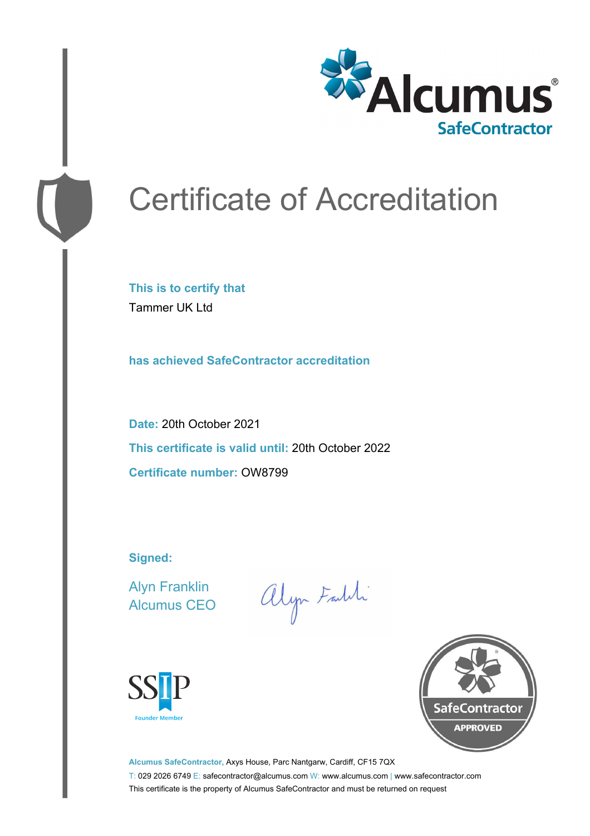

# Certificate of Accreditation

**This is to certify that** Tammer UK Ltd

**has achieved SafeContractor accreditation**

**Date:** 20th October 2021 **This certificate is valid until:** 20th October 2022 **Certificate number:** OW8799

**Signed:**

Alyn Franklin Alcumus CEO

alyn Faldi





**Alcumus SafeContractor,** Axys House, Parc Nantgarw, Cardiff, CF15 7QX T: 029 2026 6749 E: safecontractor@alcumus.com W: www.alcumus.com | www.safecontractor.com This certificate is the property of Alcumus SafeContractor and must be returned on request